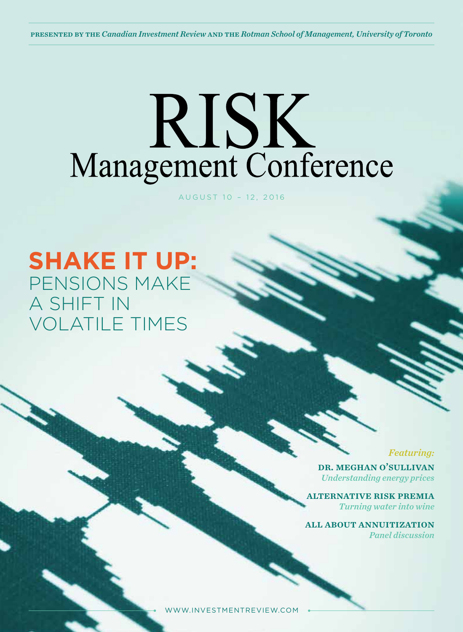presented by the *Canadian Investment Review* and the *Rotman School of Management, University of Toronto*

## RISK Management Conference

AUGUST 10 – 12, 2016

**SHAKE IT UP:**  PENSIONS MAKE A SHIFT IN VOLATILE TIMES

#### *Featuring:*

dr. meghan o'sullivan *Understanding energy prices*

alternative risk premia *Turning water into wine*

all about annuitization *Panel discussion*

WWW.INVESTMENTREVIEW.COM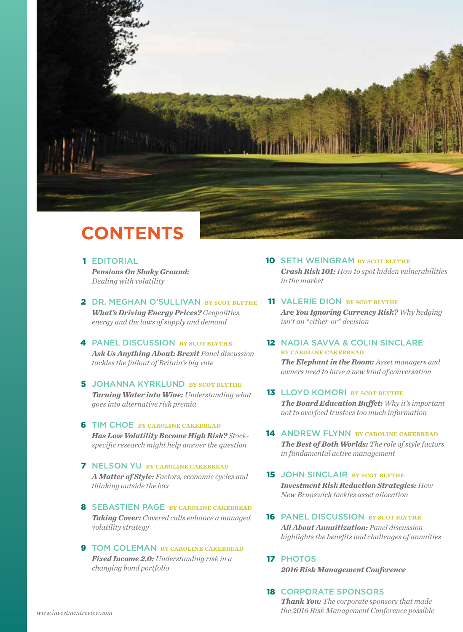

### **contents**

- 1 Editorial  *Pensions On Shaky Ground: Dealing with volatility*
- 2 DR. MEGHAN O'SULLIVAN BY SCOT BLYTHE  *What's Driving Energy Prices? Geopolitics, energy and the laws of supply and demand*
- **4 PANEL DISCUSSION BY SCOT BLYTHE**  *Ask Us Anything About: Brexit Panel discussion tackles the fallout of Britain's big vote*
- **5 JOHANNA KYRKLUND BY SCOT BLYTHE**  *Turning Water into Wine: Understanding what goes into alternative risk premia*
- **6 TIM CHOE BY CAROLINE CAKEBREAD**  *Has Low Volatility Become High Risk? Stockspecific research might help answer the question*
- 7 NELSON YU by caroline cakebread  *A Matter of Style: Factors, economic cycles and thinking outside the box*
- 8 SEBASTIEN PAGE BY CAROLINE CAKEBREAD  *Taking Cover: Covered calls enhance a managed volatility strategy*
- **9 TOM COLEMAN BY CAROLINE CAKEBREAD**  *Fixed Income 2.0: Understanding risk in a changing bond portfolio*
- **10 SETH WEINGRAM BY SCOT BLYTHE**  *Crash Risk 101: How to spot hidden vulnerabilities in the market*
- 11 VALERIE DION BY SCOT BLYTHE  *Are You Ignoring Currency Risk? Why hedging isn't an "either-or" decision*
- 12 NADIA SAVVA & COLIN SINCLARE by caroline cakebread  *The Elephant in the Room: Asset managers and owners need to have a new kind of conversation*
- **13 LLOYD KOMORI BY SCOT BLYTHE**  *The Board Education Buffet: Why it's important not to overfeed trustees too much information*
- 14 ANDREW FLYNN BY CAROLINE CAKEBREAD  *The Best of Both Worlds: The role of style factors in fundamental active management*
- **15 JOHN SINCLAIR BY SCOT BLYTHE**  *Investment Risk Reduction Strategies: How New Brunswick tackles asset allocation*
- **16 PANEL DISCUSSION BY SCOT BLYTHE**  *All About Annuitization: Panel discussion highlights the benefits and challenges of annuities*
- 17 PHOTOS  *2016 Risk Management Conference*
- 18 corporate sponsors  *Thank You: The corporate sponsors that made the 2016 Risk Management Conference possible*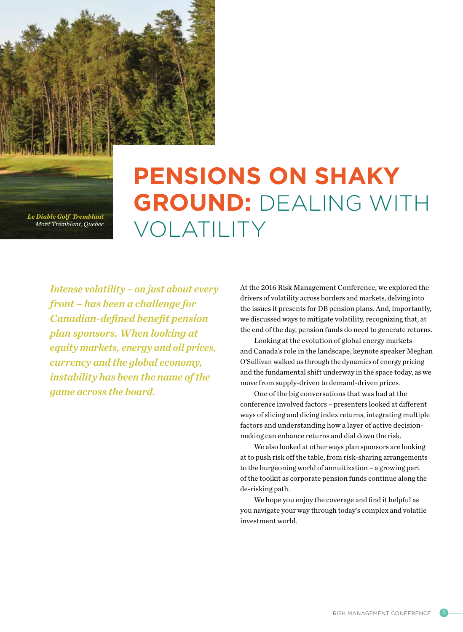

## **Pensions On Shaky Ground:** Dealing with volatility

*Intense volatility – on just about every front – has been a challenge for Canadian-defined benefit pension plan sponsors. When looking at equity markets, energy and oil prices, currency and the global economy, instability has been the name of the game across the board.* 

At the 2016 Risk Management Conference, we explored the drivers of volatility across borders and markets, delving into the issues it presents for DB pension plans. And, importantly, we discussed ways to mitigate volatility, recognizing that, at the end of the day, pension funds do need to generate returns.

Looking at the evolution of global energy markets and Canada's role in the landscape, keynote speaker Meghan O'Sullivan walked us through the dynamics of energy pricing and the fundamental shift underway in the space today, as we move from supply-driven to demand-driven prices.

One of the big conversations that was had at the conference involved factors – presenters looked at different ways of slicing and dicing index returns, integrating multiple factors and understanding how a layer of active decisionmaking can enhance returns and dial down the risk.

We also looked at other ways plan sponsors are looking at to push risk off the table, from risk-sharing arrangements to the burgeoning world of annuitization – a growing part of the toolkit as corporate pension funds continue along the de-risking path.

We hope you enjoy the coverage and find it helpful as you navigate your way through today's complex and volatile investment world.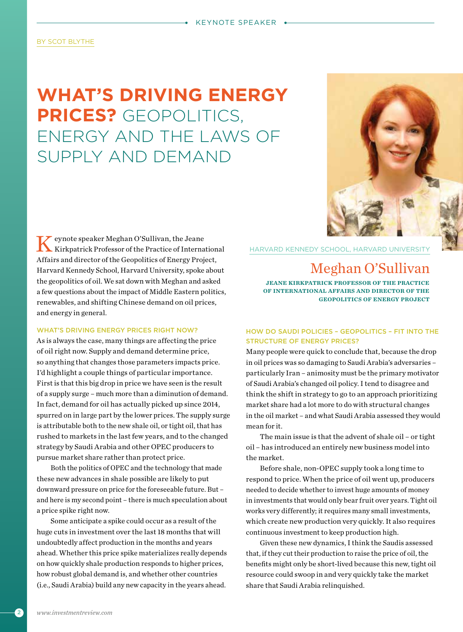#### by scot blythe

### **What's Driving Energy Prices?** Geopolitics, energy and the laws of supply and demand



eynote speaker Meghan O'Sullivan, the Jeane Kirkpatrick Professor of the Practice of International Affairs and director of the Geopolitics of Energy Project, Harvard Kennedy School, Harvard University, spoke about the geopolitics of oil. We sat down with Meghan and asked a few questions about the impact of Middle Eastern politics, renewables, and shifting Chinese demand on oil prices, and energy in general.

#### WHAT'S DRIVING ENERGY PRICES RIGHT NOW?

As is always the case, many things are affecting the price of oil right now. Supply and demand determine price, so anything that changes those parameters impacts price. I'd highlight a couple things of particular importance. First is that this big drop in price we have seen is the result of a supply surge – much more than a diminution of demand. In fact, demand for oil has actually picked up since 2014, spurred on in large part by the lower prices. The supply surge is attributable both to the new shale oil, or tight oil, that has rushed to markets in the last few years, and to the changed strategy by Saudi Arabia and other OPEC producers to pursue market share rather than protect price.

Both the politics of OPEC and the technology that made these new advances in shale possible are likely to put downward pressure on price for the foreseeable future. But – and here is my second point – there is much speculation about a price spike right now.

Some anticipate a spike could occur as a result of the huge cuts in investment over the last 18 months that will undoubtedly affect production in the months and years ahead. Whether this price spike materializes really depends on how quickly shale production responds to higher prices, how robust global demand is, and whether other countries (i.e., Saudi Arabia) build any new capacity in the years ahead.

Harvard Kennedy School, Harvard University

### Meghan O'Sullivan

jeane kirkpatrick professor of the practice of international affairs and director of the geopolitics of energy project

#### How do Saudi policies – geopolitics – fit into the structure of energy prices?

Many people were quick to conclude that, because the drop in oil prices was so damaging to Saudi Arabia's adversaries – particularly Iran – animosity must be the primary motivator of Saudi Arabia's changed oil policy. I tend to disagree and think the shift in strategy to go to an approach prioritizing market share had a lot more to do with structural changes in the oil market – and what Saudi Arabia assessed they would mean for it.

The main issue is that the advent of shale oil – or tight oil – has introduced an entirely new business model into the market.

Before shale, non-OPEC supply took a long time to respond to price. When the price of oil went up, producers needed to decide whether to invest huge amounts of money in investments that would only bear fruit over years. Tight oil works very differently; it requires many small investments, which create new production very quickly. It also requires continuous investment to keep production high.

Given these new dynamics, I think the Saudis assessed that, if they cut their production to raise the price of oil, the benefits might only be short-lived because this new, tight oil resource could swoop in and very quickly take the market share that Saudi Arabia relinquished.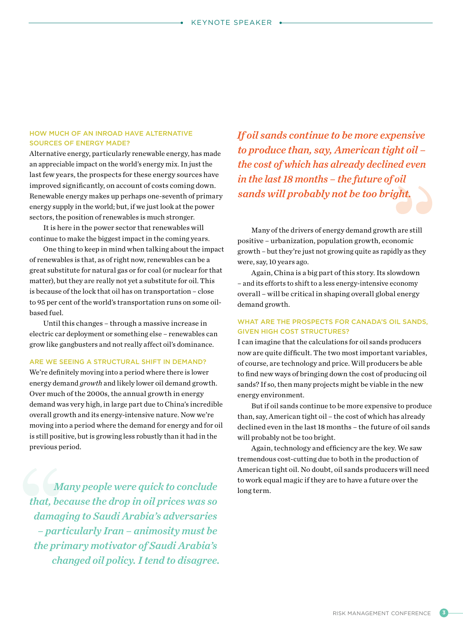#### How much of an inroad have alternative sources of energy made?

Alternative energy, particularly renewable energy, has made an appreciable impact on the world's energy mix. In just the last few years, the prospects for these energy sources have improved significantly, on account of costs coming down. Renewable energy makes up perhaps one-seventh of primary energy supply in the world; but, if we just look at the power sectors, the position of renewables is much stronger.

It is here in the power sector that renewables will continue to make the biggest impact in the coming years.

One thing to keep in mind when talking about the impact of renewables is that, as of right now, renewables can be a great substitute for natural gas or for coal (or nuclear for that matter), but they are really not yet a substitute for oil. This is because of the lock that oil has on transportation – close to 95 per cent of the world's transportation runs on some oilbased fuel.

Until this changes – through a massive increase in electric car deployment or something else – renewables can grow like gangbusters and not really affect oil's dominance.

#### Are we seeing a structural shift in demand?

We're definitely moving into a period where there is lower energy demand *growth* and likely lower oil demand growth. Over much of the 2000s, the annual growth in energy demand was very high, in large part due to China's incredible overall growth and its energy-intensive nature. Now we're moving into a period where the demand for energy and for oil is still positive, but is growing less robustly than it had in the previous period.

*Many people were quick to conclude* long term. *that, because the drop in oil prices was so damaging to Saudi Arabia's adversaries – particularly Iran – animosity must be the primary motivator of Saudi Arabia's changed oil policy. I tend to disagree.*

*If oil sands continue to be more expensive to produce than, say, American tight oil – the cost of which has already declined even in the last 18 months – the future of oil sands will probably not be too bright.* 

Many of the drivers of energy demand growth are still positive – urbanization, population growth, economic growth – but they're just not growing quite as rapidly as they were, say, 10 years ago.

Again, China is a big part of this story. Its slowdown – and its efforts to shift to a less energy-intensive economy overall – will be critical in shaping overall global energy demand growth.

#### WHAT ARE THE PROSPECTS FOR CANADA'S OIL SANDS. given high cost structures?

I can imagine that the calculations for oil sands producers now are quite difficult. The two most important variables, of course, are technology and price. Will producers be able to find new ways of bringing down the cost of producing oil sands? If so, then many projects might be viable in the new energy environment.

But if oil sands continue to be more expensive to produce than, say, American tight oil – the cost of which has already declined even in the last 18 months – the future of oil sands will probably not be too bright.

Again, technology and efficiency are the key. We saw tremendous cost-cutting due to both in the production of American tight oil. No doubt, oil sands producers will need to work equal magic if they are to have a future over the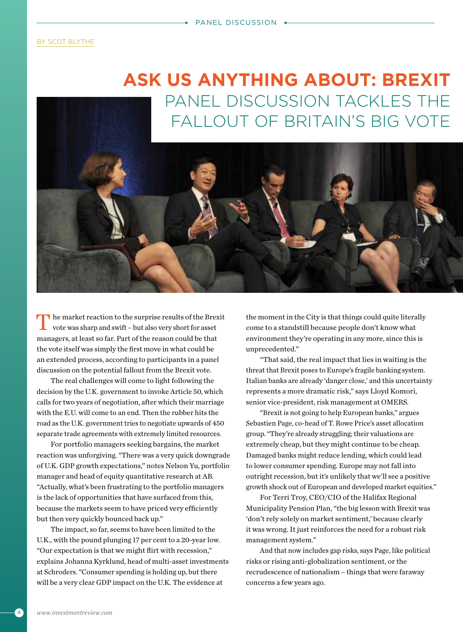### **Ask us anything about: Brexit** Panel discussion tackles the fallout of Britain's big vote



The market reaction to the surprise results of the Brexit vote was sharp and swift – but also very short for asset managers, at least so far. Part of the reason could be that the vote itself was simply the first move in what could be an extended process, according to participants in a panel discussion on the potential fallout from the Brexit vote.

The real challenges will come to light following the decision by the U.K. government to invoke Article 50, which calls for two years of negotiation, after which their marriage with the E.U. will come to an end. Then the rubber hits the road as the U.K. government tries to negotiate upwards of 450 separate trade agreements with extremely limited resources.

For portfolio managers seeking bargains, the market reaction was unforgiving. "There was a very quick downgrade of U.K. GDP growth expectations," notes Nelson Yu, portfolio manager and head of equity quantitative research at AB. "Actually, what's been frustrating to the portfolio managers is the lack of opportunities that have surfaced from this, because the markets seem to have priced very efficiently but then very quickly bounced back up."

The impact, so far, seems to have been limited to the U.K., with the pound plunging 17 per cent to a 20-year low. "Our expectation is that we might flirt with recession," explains Johanna Kyrklund, head of multi-asset investments at Schroders. "Consumer spending is holding up, but there will be a very clear GDP impact on the U.K. The evidence at

the moment in the City is that things could quite literally come to a standstill because people don't know what environment they're operating in any more, since this is unprecedented."

"That said, the real impact that lies in waiting is the threat that Brexit poses to Europe's fragile banking system. Italian banks are already 'danger close,' and this uncertainty represents a more dramatic risk," says Lloyd Komori, senior vice-president, risk management at OMERS.

"Brexit is not going to help European banks," argues Sebastien Page, co-head of T. Rowe Price's asset allocation group. "They're already struggling; their valuations are extremely cheap, but they might continue to be cheap. Damaged banks might reduce lending, which could lead to lower consumer spending. Europe may not fall into outright recession, but it's unlikely that we'll see a positive growth shock out of European and developed market equities."

For Terri Troy, CEO/CIO of the Halifax Regional Municipality Pension Plan, "the big lesson with Brexit was 'don't rely solely on market sentiment,' because clearly it was wrong. It just reinforces the need for a robust risk management system."

And that now includes gap risks, says Page, like political risks or rising anti-globalization sentiment, or the recrudescence of nationalism – things that were faraway concerns a few years ago.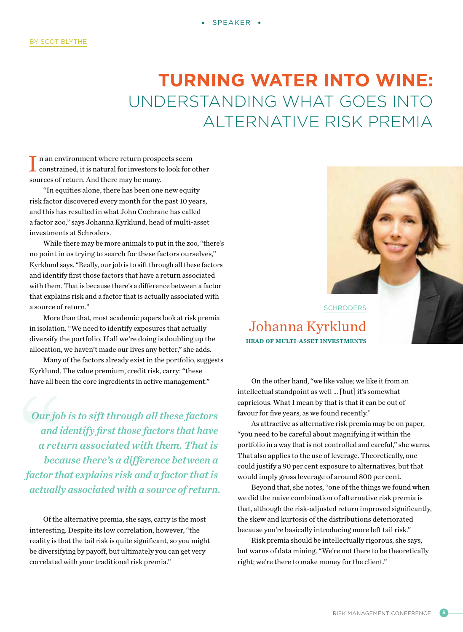### **Turning water into wine:**  Understanding what goes into alternative risk premia

I n an environment where return prospects seem constrained, it is natural for investors to look for other sources of return. And there may be many.

"In equities alone, there has been one new equity risk factor discovered every month for the past 10 years, and this has resulted in what John Cochrane has called a factor zoo," says Johanna Kyrklund, head of multi-asset investments at Schroders.

While there may be more animals to put in the zoo, "there's no point in us trying to search for these factors ourselves," Kyrklund says. "Really, our job is to sift through all these factors and identify first those factors that have a return associated with them. That is because there's a difference between a factor that explains risk and a factor that is actually associated with a source of return."

More than that, most academic papers look at risk premia in isolation. "We need to identify exposures that actually diversify the portfolio. If all we're doing is doubling up the allocation, we haven't made our lives any better," she adds.

Many of the factors already exist in the portfolio, suggests Kyrklund. The value premium, credit risk, carry: "these have all been the core ingredients in active management."

 *Our job is to sift through all these factors and identify first those factors that have a return associated with them. That is because there's a difference between a factor that explains risk and a factor that is actually associated with a source of return.*

Of the alternative premia, she says, carry is the most interesting. Despite its low correlation, however, "the reality is that the tail risk is quite significant, so you might be diversifying by payoff, but ultimately you can get very correlated with your traditional risk premia."



Johanna Kyrklund head of multi-asset investments

On the other hand, "we like value; we like it from an intellectual standpoint as well … [but] it's somewhat capricious. What I mean by that is that it can be out of favour for five years, as we found recently."

As attractive as alternative risk premia may be on paper, "you need to be careful about magnifying it within the portfolio in a way that is not controlled and careful," she warns. That also applies to the use of leverage. Theoretically, one could justify a 90 per cent exposure to alternatives, but that would imply gross leverage of around 800 per cent.

Beyond that, she notes, "one of the things we found when we did the naive combination of alternative risk premia is that, although the risk-adjusted return improved significantly, the skew and kurtosis of the distributions deteriorated because you're basically introducing more left tail risk."

Risk premia should be intellectually rigorous, she says, but warns of data mining. "We're not there to be theoretically right; we're there to make money for the client."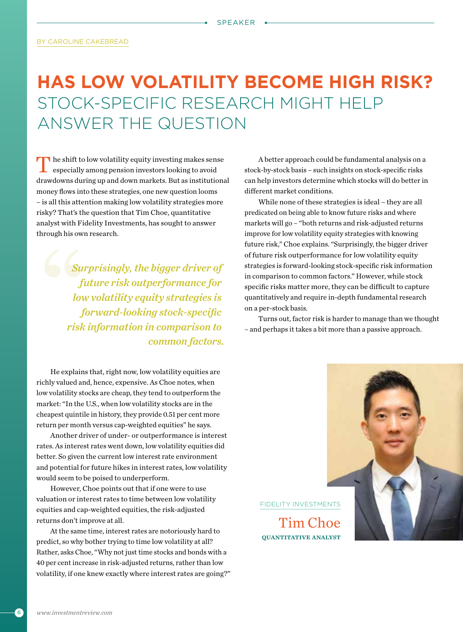### **Has Low Volatility Become High Risk?** Stock-specific research might help answer the question

 $\blacksquare$  he shift to low volatility equity investing makes sense especially among pension investors looking to avoid drawdowns during up and down markets. But as institutional money flows into these strategies, one new question looms – is all this attention making low volatility strategies more risky? That's the question that Tim Choe, quantitative analyst with Fidelity Investments, has sought to answer through his own research.

> *Surprisingly, the bigger driver of future risk outperformance for low volatility equity strategies is forward-looking stock-specific risk information in comparison to common factors.*

He explains that, right now, low volatility equities are richly valued and, hence, expensive. As Choe notes, when low volatility stocks are cheap, they tend to outperform the market: "In the U.S., when low volatility stocks are in the cheapest quintile in history, they provide 0.51 per cent more return per month versus cap-weighted equities" he says.

Another driver of under- or outperformance is interest rates. As interest rates went down, low volatility equities did better. So given the current low interest rate environment and potential for future hikes in interest rates, low volatility would seem to be poised to underperform.

However, Choe points out that if one were to use valuation or interest rates to time between low volatility equities and cap-weighted equities, the risk-adjusted returns don't improve at all.

At the same time, interest rates are notoriously hard to predict, so why bother trying to time low volatility at all? Rather, asks Choe, "Why not just time stocks and bonds with a 40 per cent increase in risk-adjusted returns, rather than low volatility, if one knew exactly where interest rates are going?"

A better approach could be fundamental analysis on a stock-by-stock basis – such insights on stock-specific risks can help investors determine which stocks will do better in different market conditions.

While none of these strategies is ideal – they are all predicated on being able to know future risks and where markets will go – "both returns and risk-adjusted returns improve for low volatility equity strategies with knowing future risk," Choe explains. "Surprisingly, the bigger driver of future risk outperformance for low volatility equity strategies is forward-looking stock-specific risk information in comparison to common factors." However, while stock specific risks matter more, they can be difficult to capture quantitatively and require in-depth fundamental research on a per-stock basis.

Turns out, factor risk is harder to manage than we thought – and perhaps it takes a bit more than a passive approach.

FIDELITY INVESTMENTS Tim Choe quantitative analyst

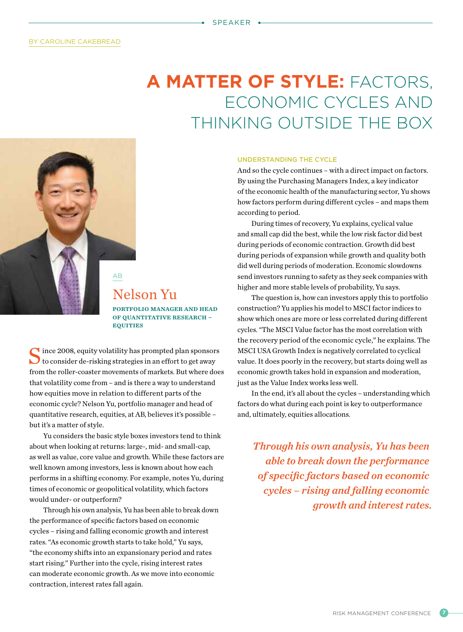### **A Matter of Style:** Factors, economic cycles and thinking outside the box



#### Nelson Yu portfolio manager and head of quantitative research – **EQUITIES**

 $\bigcap$  ince 2008, equity volatility has prompted plan sponsors to consider de-risking strategies in an effort to get away from the roller-coaster movements of markets. But where does that volatility come from – and is there a way to understand how equities move in relation to different parts of the economic cycle? Nelson Yu, portfolio manager and head of quantitative research, equities, at AB, believes it's possible – but it's a matter of style.

Yu considers the basic style boxes investors tend to think about when looking at returns: large-, mid- and small-cap, as well as value, core value and growth. While these factors are well known among investors, less is known about how each performs in a shifting economy. For example, notes Yu, during times of economic or geopolitical volatility, which factors would under- or outperform?

Through his own analysis, Yu has been able to break down the performance of specific factors based on economic cycles – rising and falling economic growth and interest rates. "As economic growth starts to take hold," Yu says, "the economy shifts into an expansionary period and rates start rising." Further into the cycle, rising interest rates can moderate economic growth. As we move into economic contraction, interest rates fall again.

#### Understanding the cycle

And so the cycle continues – with a direct impact on factors. By using the Purchasing Managers Index, a key indicator of the economic health of the manufacturing sector, Yu shows how factors perform during different cycles – and maps them according to period.

During times of recovery, Yu explains, cyclical value and small cap did the best, while the low risk factor did best during periods of economic contraction. Growth did best during periods of expansion while growth and quality both did well during periods of moderation. Economic slowdowns send investors running to safety as they seek companies with higher and more stable levels of probability, Yu says.

The question is, how can investors apply this to portfolio construction? Yu applies his model to MSCI factor indices to show which ones are more or less correlated during different cycles. "The MSCI Value factor has the most correlation with the recovery period of the economic cycle," he explains. The MSCI USA Growth Index is negatively correlated to cyclical value. It does poorly in the recovery, but starts doing well as economic growth takes hold in expansion and moderation, just as the Value Index works less well.

In the end, it's all about the cycles – understanding which factors do what during each point is key to outperformance and, ultimately, equities allocations.

*Through his own analysis, Yu has been able to break down the performance of specific factors based on economic cycles – rising and falling economic growth and interest rates.*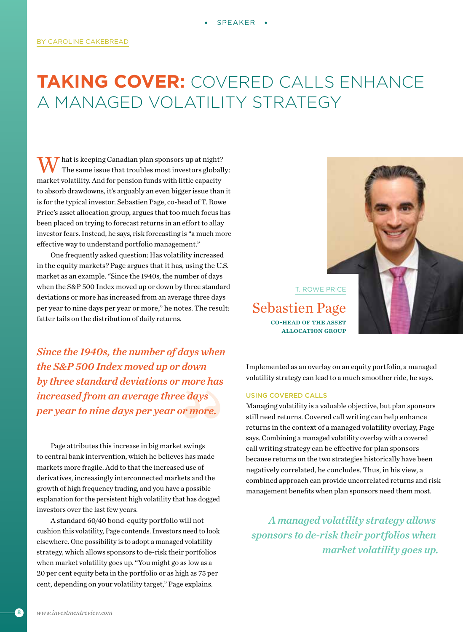### **Taking Cover:** Covered calls enhance a managed volatility strategy

hat is keeping Canadian plan sponsors up at night? The same issue that troubles most investors globally: market volatility. And for pension funds with little capacity to absorb drawdowns, it's arguably an even bigger issue than it is for the typical investor. Sebastien Page, co-head of T. Rowe Price's asset allocation group, argues that too much focus has been placed on trying to forecast returns in an effort to allay investor fears. Instead, he says, risk forecasting is "a much more effective way to understand portfolio management."

One frequently asked question: Has volatility increased in the equity markets? Page argues that it has, using the U.S. market as an example. "Since the 1940s, the number of days when the S&P 500 Index moved up or down by three standard deviations or more has increased from an average three days per year to nine days per year or more," he notes. The result: fatter tails on the distribution of daily returns.

*Since the 1940s, the number of days when the S&P 500 Index moved up or down by three standard deviations or more has increased from an average three days per year to nine days per year or more.*

Page attributes this increase in big market swings to central bank intervention, which he believes has made markets more fragile. Add to that the increased use of derivatives, increasingly interconnected markets and the growth of high frequency trading, and you have a possible explanation for the persistent high volatility that has dogged investors over the last few years.

A standard 60/40 bond-equity portfolio will not cushion this volatility, Page contends. Investors need to look elsewhere. One possibility is to adopt a managed volatility strategy, which allows sponsors to de-risk their portfolios when market volatility goes up. "You might go as low as a 20 per cent equity beta in the portfolio or as high as 75 per cent, depending on your volatility target," Page explains.



T. ROWE PRICE

Sebastien Page co-head of the asset allocation group

Implemented as an overlay on an equity portfolio, a managed volatility strategy can lead to a much smoother ride, he says.

#### Using covered calls

Managing volatility is a valuable objective, but plan sponsors still need returns. Covered call writing can help enhance returns in the context of a managed volatility overlay, Page says. Combining a managed volatility overlay with a covered call writing strategy can be effective for plan sponsors because returns on the two strategies historically have been negatively correlated, he concludes. Thus, in his view, a combined approach can provide uncorrelated returns and risk management benefits when plan sponsors need them most.

*A managed volatility strategy allows sponsors to de-risk their portfolios when market volatility goes up.*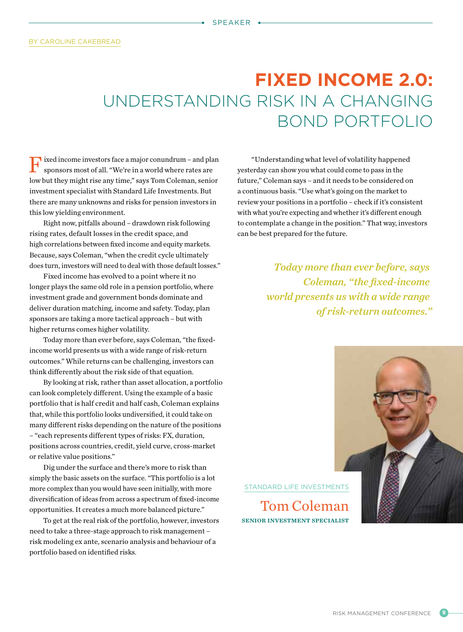### **Fixed Income 2.0:**  Understanding risk in a changing bond portfolio

ixed income investors face a major conundrum – and plan sponsors most of all. "We're in a world where rates are low but they might rise any time," says Tom Coleman, senior investment specialist with Standard Life Investments. But there are many unknowns and risks for pension investors in this low yielding environment.

Right now, pitfalls abound – drawdown risk following rising rates, default losses in the credit space, and high correlations between fixed income and equity markets. Because, says Coleman, "when the credit cycle ultimately does turn, investors will need to deal with those default losses."

Fixed income has evolved to a point where it no longer plays the same old role in a pension portfolio, where investment grade and government bonds dominate and deliver duration matching, income and safety. Today, plan sponsors are taking a more tactical approach – but with higher returns comes higher volatility.

Today more than ever before, says Coleman, "the fixedincome world presents us with a wide range of risk-return outcomes." While returns can be challenging, investors can think differently about the risk side of that equation.

By looking at risk, rather than asset allocation, a portfolio can look completely different. Using the example of a basic portfolio that is half credit and half cash, Coleman explains that, while this portfolio looks undiversified, it could take on many different risks depending on the nature of the positions – "each represents different types of risks: FX, duration, positions across countries, credit, yield curve, cross-market or relative value positions."

Dig under the surface and there's more to risk than simply the basic assets on the surface. "This portfolio is a lot more complex than you would have seen initially, with more diversification of ideas from across a spectrum of fixed-income opportunities. It creates a much more balanced picture."

To get at the real risk of the portfolio, however, investors need to take a three-stage approach to risk management – risk modeling ex ante, scenario analysis and behaviour of a portfolio based on identified risks.

"Understanding what level of volatility happened yesterday can show you what could come to pass in the future," Coleman says – and it needs to be considered on a continuous basis. "Use what's going on the market to review your positions in a portfolio – check if it's consistent with what you're expecting and whether it's different enough to contemplate a change in the position." That way, investors can be best prepared for the future.

> *Today more than ever before, says Coleman, "the fixed-income world presents us with a wide range of risk-return outcomes."*

STANDARD LIFE INVESTMENTS

Tom Coleman senior investment specialist

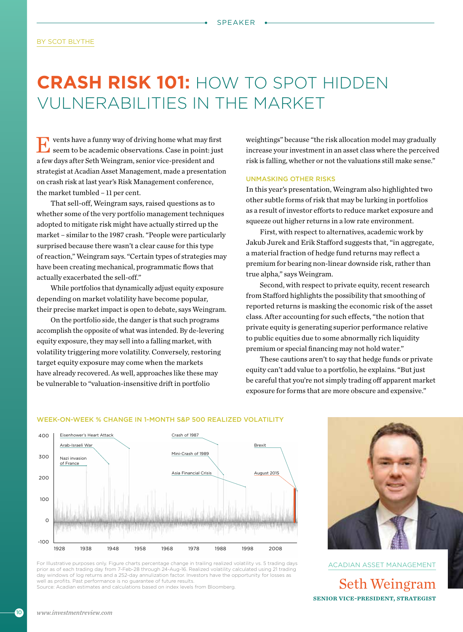#### BY SCOT BLYTHE

### **Crash Risk 101:** How to spot hidden vulnerabilities in the market

Events have a funny way of driving home what may first seem to be academic observations. Case in point: just a few days after Seth Weingram, senior vice-president and strategist at Acadian Asset Management, made a presentation on crash risk at last year's Risk Management conference, the market tumbled – 11 per cent.

That sell-off, Weingram says, raised questions as to whether some of the very portfolio management techniques adopted to mitigate risk might have actually stirred up the market – similar to the 1987 crash. "People were particularly surprised because there wasn't a clear cause for this type of reaction," Weingram says. "Certain types of strategies may have been creating mechanical, programmatic flows that actually exacerbated the sell-off."

While portfolios that dynamically adjust equity exposure depending on market volatility have become popular, their precise market impact is open to debate, says Weingram.

On the portfolio side, the danger is that such programs accomplish the opposite of what was intended. By de-levering equity exposure, they may sell into a falling market, with volatility triggering more volatility. Conversely, restoring target equity exposure may come when the markets have already recovered. As well, approaches like these may be vulnerable to "valuation-insensitive drift in portfolio

weightings" because "the risk allocation model may gradually increase your investment in an asset class where the perceived risk is falling, whether or not the valuations still make sense."

#### Unmasking other risks

In this year's presentation, Weingram also highlighted two other subtle forms of risk that may be lurking in portfolios as a result of investor efforts to reduce market exposure and squeeze out higher returns in a low rate environment.

First, with respect to alternatives, academic work by Jakub Jurek and Erik Stafford suggests that, "in aggregate, a material fraction of hedge fund returns may reflect a premium for bearing non-linear downside risk, rather than true alpha," says Weingram.

Second, with respect to private equity, recent research from Stafford highlights the possibility that smoothing of reported returns is masking the economic risk of the asset class. After accounting for such effects, "the notion that private equity is generating superior performance relative to public equities due to some abnormally rich liquidity premium or special financing may not hold water."

These cautions aren't to say that hedge funds or private equity can't add value to a portfolio, he explains. "But just be careful that you're not simply trading off apparent market exposure for forms that are more obscure and expensive."



#### Week-on-week % change in 1-month S&P 500 realized volatility

For Illustrative purposes only. Figure charts percentage change in trailing realized volatility vs. 5 trading days prior as of each trading day from 7-Feb-28 through 24-Aug-16. Realized volatility calculated using 21 trading day windows of log returns and a 252-day annulization factor. Investors have the opportunity for losses as well as profits. Past performance is no guarantee of future results.

Source: Acadian estimates and calculations based on index levels from Bloomberg.



ACADIAN ASSET MANAGEMENT Seth Weingram senior vice-president, strategist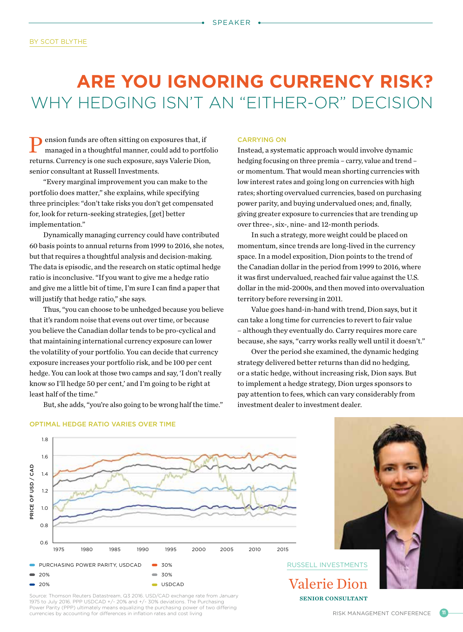#### by scot blythe

### **Are You Ignoring Currency Risk?** Why hedging isn't an "either-or" decision

Pension funds are often sitting on exposures that, if managed in a thoughtful manner, could add to portfolio returns. Currency is one such exposure, says Valerie Dion, senior consultant at Russell Investments.

"Every marginal improvement you can make to the portfolio does matter," she explains, while specifying three principles: "don't take risks you don't get compensated for, look for return-seeking strategies, [get] better implementation."

Dynamically managing currency could have contributed 60 basis points to annual returns from 1999 to 2016, she notes, but that requires a thoughtful analysis and decision-making. The data is episodic, and the research on static optimal hedge ratio is inconclusive. "If you want to give me a hedge ratio and give me a little bit of time, I'm sure I can find a paper that will justify that hedge ratio," she says.

Thus, "you can choose to be unhedged because you believe that it's random noise that evens out over time, or because you believe the Canadian dollar tends to be pro-cyclical and that maintaining international currency exposure can lower the volatility of your portfolio. You can decide that currency exposure increases your portfolio risk, and be 100 per cent hedge. You can look at those two camps and say, 'I don't really know so I'll hedge 50 per cent,' and I'm going to be right at least half of the time."

But, she adds, "you're also going to be wrong half the time."

#### Carrying on

Instead, a systematic approach would involve dynamic hedging focusing on three premia – carry, value and trend – or momentum. That would mean shorting currencies with low interest rates and going long on currencies with high rates; shorting overvalued currencies, based on purchasing power parity, and buying undervalued ones; and, finally, giving greater exposure to currencies that are trending up over three-, six-, nine- and 12-month periods.

In such a strategy, more weight could be placed on momentum, since trends are long-lived in the currency space. In a model exposition, Dion points to the trend of the Canadian dollar in the period from 1999 to 2016, where it was first undervalued, reached fair value against the U.S. dollar in the mid-2000s, and then moved into overvaluation territory before reversing in 2011.

Value goes hand-in-hand with trend, Dion says, but it can take a long time for currencies to revert to fair value – although they eventually do. Carry requires more care because, she says, "carry works really well until it doesn't."

Over the period she examined, the dynamic hedging strategy delivered better returns than did no hedging, or a static hedge, without increasing risk, Dion says. But to implement a hedge strategy, Dion urges sponsors to pay attention to fees, which can vary considerably from investment dealer to investment dealer.



#### Optimal hedge ratio varies over time



Source: Thomson Reuters Datastream, Q3 2016. USD/CAD exchange rate from January 1975 to July 2016. PPP USDCAD +/- 20% and +/- 30% deviations. The Purchasing Power Parity (PPP) ultimately means equalizing the purchasing power of two differing currencies by accounting for differences in inflation rates and cost living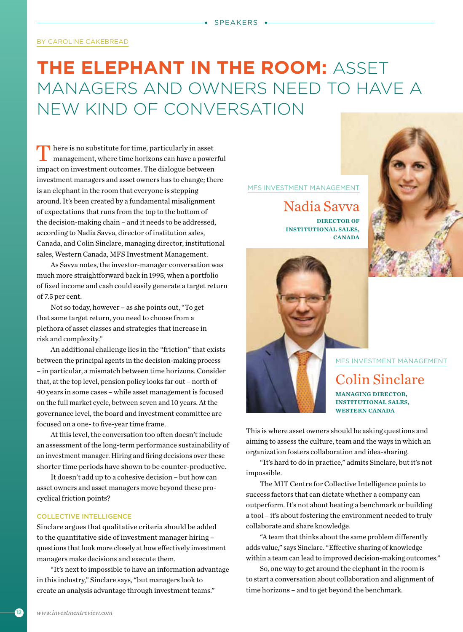#### BY CAROLINE CAKEBREAD

### **The Elephant in the Room:** Asset managers and owners need to have a new kind of conversation

 $\blacksquare$  here is no substitute for time, particularly in asset management, where time horizons can have a powerful impact on investment outcomes. The dialogue between investment managers and asset owners has to change; there is an elephant in the room that everyone is stepping around. It's been created by a fundamental misalignment of expectations that runs from the top to the bottom of the decision-making chain – and it needs to be addressed, according to Nadia Savva, director of institution sales, Canada, and Colin Sinclare, managing director, institutional sales, Western Canada, MFS Investment Management.

As Savva notes, the investor-manager conversation was much more straightforward back in 1995, when a portfolio of fixed income and cash could easily generate a target return of 7.5 per cent.

Not so today, however – as she points out, "To get that same target return, you need to choose from a plethora of asset classes and strategies that increase in risk and complexity."

An additional challenge lies in the "friction" that exists between the principal agents in the decision-making process – in particular, a mismatch between time horizons. Consider that, at the top level, pension policy looks far out – north of 40 years in some cases – while asset management is focused on the full market cycle, between seven and 10 years. At the governance level, the board and investment committee are focused on a one- to five-year time frame.

At this level, the conversation too often doesn't include an assessment of the long-term performance sustainability of an investment manager. Hiring and firing decisions over these shorter time periods have shown to be counter-productive.

It doesn't add up to a cohesive decision – but how can asset owners and asset managers move beyond these procyclical friction points?

#### Collective intelligence

Sinclare argues that qualitative criteria should be added to the quantitative side of investment manager hiring – questions that look more closely at how effectively investment managers make decisions and execute them.

"It's next to impossible to have an information advantage in this industry," Sinclare says, "but managers look to create an analysis advantage through investment teams."

#### MFS INVESTMENT MANAGEMENT

### Nadia Savva

DIRECTOR OF institutional sales, **CANADA** 





#### MFS INVESTMENT MANAGEMENT

Colin Sinclare managing director, institutional sales, western canada

This is where asset owners should be asking questions and aiming to assess the culture, team and the ways in which an organization fosters collaboration and idea-sharing.

"It's hard to do in practice," admits Sinclare, but it's not impossible.

The MIT Centre for Collective Intelligence points to success factors that can dictate whether a company can outperform. It's not about beating a benchmark or building a tool – it's about fostering the environment needed to truly collaborate and share knowledge.

"A team that thinks about the same problem differently adds value," says Sinclare. "Effective sharing of knowledge within a team can lead to improved decision-making outcomes."

So, one way to get around the elephant in the room is to start a conversation about collaboration and alignment of time horizons – and to get beyond the benchmark.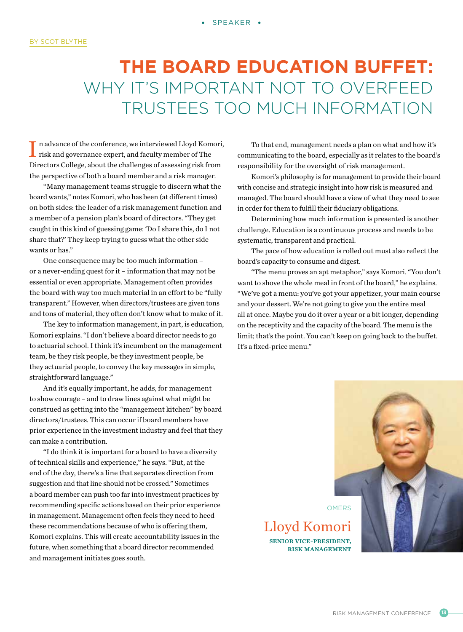#### by scot blythe

### **The Board Education Buffet:**  Why it's important not to overfeed trustees too much information

 $\prod$ n advance of the conference, we interviewed Lloyd Komori, risk and governance expert, and faculty member of The Directors College, about the challenges of assessing risk from the perspective of both a board member and a risk manager.

"Many management teams struggle to discern what the board wants," notes Komori, who has been (at different times) on both sides: the leader of a risk management function and a member of a pension plan's board of directors. "They get caught in this kind of guessing game: 'Do I share this, do I not share that?' They keep trying to guess what the other side wants or has."

One consequence may be too much information – or a never-ending quest for it – information that may not be essential or even appropriate. Management often provides the board with way too much material in an effort to be "fully transparent." However, when directors/trustees are given tons and tons of material, they often don't know what to make of it.

The key to information management, in part, is education, Komori explains. "I don't believe a board director needs to go to actuarial school. I think it's incumbent on the management team, be they risk people, be they investment people, be they actuarial people, to convey the key messages in simple, straightforward language."

And it's equally important, he adds, for management to show courage – and to draw lines against what might be construed as getting into the "management kitchen" by board directors/trustees. This can occur if board members have prior experience in the investment industry and feel that they can make a contribution.

"I do think it is important for a board to have a diversity of technical skills and experience," he says. "But, at the end of the day, there's a line that separates direction from suggestion and that line should not be crossed." Sometimes a board member can push too far into investment practices by recommending specific actions based on their prior experience in management. Management often feels they need to heed these recommendations because of who is offering them, Komori explains. This will create accountability issues in the future, when something that a board director recommended and management initiates goes south.

To that end, management needs a plan on what and how it's communicating to the board, especially as it relates to the board's responsibility for the oversight of risk management.

Komori's philosophy is for management to provide their board with concise and strategic insight into how risk is measured and managed. The board should have a view of what they need to see in order for them to fulfill their fiduciary obligations.

Determining how much information is presented is another challenge. Education is a continuous process and needs to be systematic, transparent and practical.

The pace of how education is rolled out must also reflect the board's capacity to consume and digest.

"The menu proves an apt metaphor," says Komori. "You don't want to shove the whole meal in front of the board," he explains. "We've got a menu: you've got your appetizer, your main course and your dessert. We're not going to give you the entire meal all at once. Maybe you do it over a year or a bit longer, depending on the receptivity and the capacity of the board. The menu is the limit; that's the point. You can't keep on going back to the buffet. It's a fixed-price menu."

**OMERS** 

Lloyd Komori senior vice-president, risk management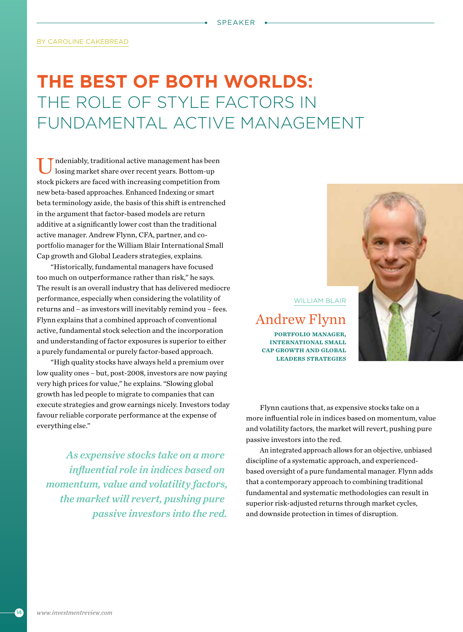### **The Best of Both Worlds:** The role of style factors in fundamental active management

ndeniably, traditional active management has been losing market share over recent years. Bottom-up stock pickers are faced with increasing competition from new beta-based approaches. Enhanced Indexing or smart beta terminology aside, the basis of this shift is entrenched in the argument that factor-based models are return additive at a significantly lower cost than the traditional active manager. Andrew Flynn, CFA, partner, and coportfolio manager for the William Blair International Small Cap growth and Global Leaders strategies, explains.

"Historically, fundamental managers have focused too much on outperformance rather than risk," he says. The result is an overall industry that has delivered mediocre performance, especially when considering the volatility of returns and – as investors will inevitably remind you – fees. Flynn explains that a combined approach of conventional active, fundamental stock selection and the incorporation and understanding of factor exposures is superior to either a purely fundamental or purely factor-based approach.

"High quality stocks have always held a premium over low quality ones – but, post-2008, investors are now paying very high prices for value," he explains. "Slowing global growth has led people to migrate to companies that can execute strategies and grow earnings nicely. Investors today favour reliable corporate performance at the expense of everything else."

*As expensive stocks take on a more influential role in indices based on momentum, value and volatility factors, the market will revert, pushing pure passive investors into the red.*



WILLIAM BLAIR

Andrew Flynn portfolio manager, international small cap growth and global leaders strategies

Flynn cautions that, as expensive stocks take on a more influential role in indices based on momentum, value and volatility factors, the market will revert, pushing pure passive investors into the red.

An integrated approach allows for an objective, unbiased discipline of a systematic approach, and experiencedbased oversight of a pure fundamental manager. Flynn adds that a contemporary approach to combining traditional fundamental and systematic methodologies can result in superior risk-adjusted returns through market cycles, and downside protection in times of disruption.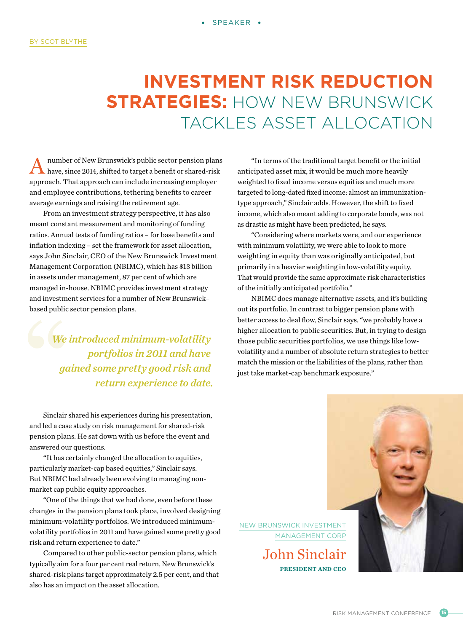### **Investment Risk Reduction Strategies:** How New Brunswick tackles asset allocation

number of New Brunswick's public sector pension plans have, since 2014, shifted to target a benefit or shared-risk approach. That approach can include increasing employer and employee contributions, tethering benefits to career average earnings and raising the retirement age.

From an investment strategy perspective, it has also meant constant measurement and monitoring of funding ratios. Annual tests of funding ratios – for base benefits and inflation indexing – set the framework for asset allocation, says John Sinclair, CEO of the New Brunswick Investment Management Corporation (NBIMC), which has \$13 billion in assets under management, 87 per cent of which are managed in-house. NBIMC provides investment strategy and investment services for a number of New Brunswick– based public sector pension plans.

> *We introduced minimum-volatility portfolios in 2011 and have gained some pretty good risk and return experience to date.*

Sinclair shared his experiences during his presentation, and led a case study on risk management for shared-risk pension plans. He sat down with us before the event and answered our questions.

"It has certainly changed the allocation to equities, particularly market-cap based equities," Sinclair says. But NBIMC had already been evolving to managing nonmarket cap public equity approaches.

"One of the things that we had done, even before these changes in the pension plans took place, involved designing minimum-volatility portfolios. We introduced minimumvolatility portfolios in 2011 and have gained some pretty good risk and return experience to date."

Compared to other public-sector pension plans, which typically aim for a four per cent real return, New Brunswick's shared-risk plans target approximately 2.5 per cent, and that also has an impact on the asset allocation.

"In terms of the traditional target benefit or the initial anticipated asset mix, it would be much more heavily weighted to fixed income versus equities and much more targeted to long-dated fixed income: almost an immunizationtype approach," Sinclair adds. However, the shift to fixed income, which also meant adding to corporate bonds, was not as drastic as might have been predicted, he says.

"Considering where markets were, and our experience with minimum volatility, we were able to look to more weighting in equity than was originally anticipated, but primarily in a heavier weighting in low-volatility equity. That would provide the same approximate risk characteristics of the initially anticipated portfolio."

NBIMC does manage alternative assets, and it's building out its portfolio. In contrast to bigger pension plans with better access to deal flow, Sinclair says, "we probably have a higher allocation to public securities. But, in trying to design those public securities portfolios, we use things like lowvolatility and a number of absolute return strategies to better match the mission or the liabilities of the plans, rather than just take market-cap benchmark exposure."



John Sinclair president and ceo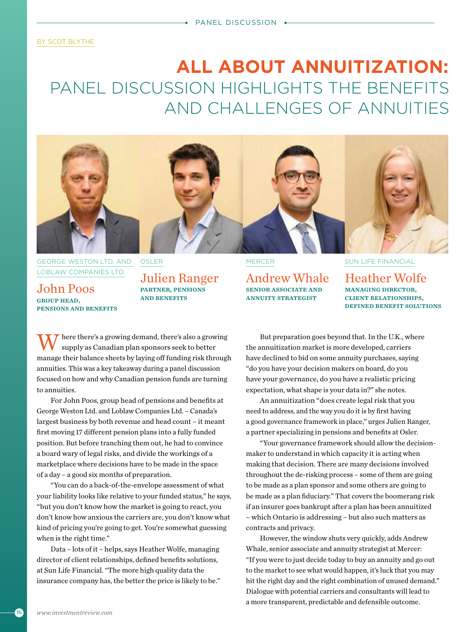### **All About Annuitization:** Panel discussion highlights the benefits and challenges of annuities



GEORGE WESTON LTD. and LOBLAW COMPANIES LTD. OSLER

John Poos group head, pensions and benefits Julien Ranger partner, pensions and benefits



MERCER Andrew Whale senior associate and annuity strategist

#### SUN LIFE FINANCIAL

Heather Wolfe managing director, client relationships, defined benefit solutions

Where there's a growing demand, there's also a growing supply as Canadian plan sponsors seek to better manage their balance sheets by laying off funding risk through annuities. This was a key takeaway during a panel discussion focused on how and why Canadian pension funds are turning to annuities.

For John Poos, group head of pensions and benefits at George Weston Ltd. and Loblaw Companies Ltd. – Canada's largest business by both revenue and head count – it meant first moving 17 different pension plans into a fully funded position. But before tranching them out, he had to convince a board wary of legal risks, and divide the workings of a marketplace where decisions have to be made in the space of a day – a good six months of preparation.

"You can do a back-of-the-envelope assessment of what your liability looks like relative to your funded status," he says, "but you don't know how the market is going to react, you don't know how anxious the carriers are, you don't know what kind of pricing you're going to get. You're somewhat guessing when is the right time."

Data – lots of it – helps, says Heather Wolfe, managing director of client relationships, defined benefits solutions, at Sun Life Financial. "The more high quality data the insurance company has, the better the price is likely to be."

But preparation goes beyond that. In the U.K., where the annuitization market is more developed, carriers have declined to bid on some annuity purchases, saying "do you have your decision makers on board, do you have your governance, do you have a realistic pricing expectation, what shape is your data in?" she notes.

An annuitization "does create legal risk that you need to address, and the way you do it is by first having a good governance framework in place," urges Julien Ranger, a partner specializing in pensions and benefits at Osler.

"Your governance framework should allow the decisionmaker to understand in which capacity it is acting when making that decision. There are many decisions involved throughout the de-risking process – some of them are going to be made as a plan sponsor and some others are going to be made as a plan fiduciary." That covers the boomerang risk if an insurer goes bankrupt after a plan has been annuitized – which Ontario is addressing – but also such matters as contracts and privacy.

However, the window shuts very quickly, adds Andrew Whale, senior associate and annuity strategist at Mercer: "If you were to just decide today to buy an annuity and go out to the market to see what would happen, it's luck that you may hit the right day and the right combination of unused demand." Dialogue with potential carriers and consultants will lead to a more transparent, predictable and defensible outcome.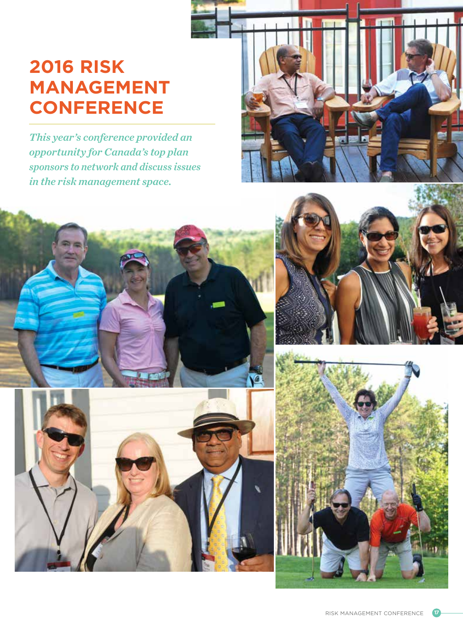### **2016 Risk Management Conference**

*This year's conference provided an opportunity for Canada's top plan sponsors to network and discuss issues in the risk management space.*